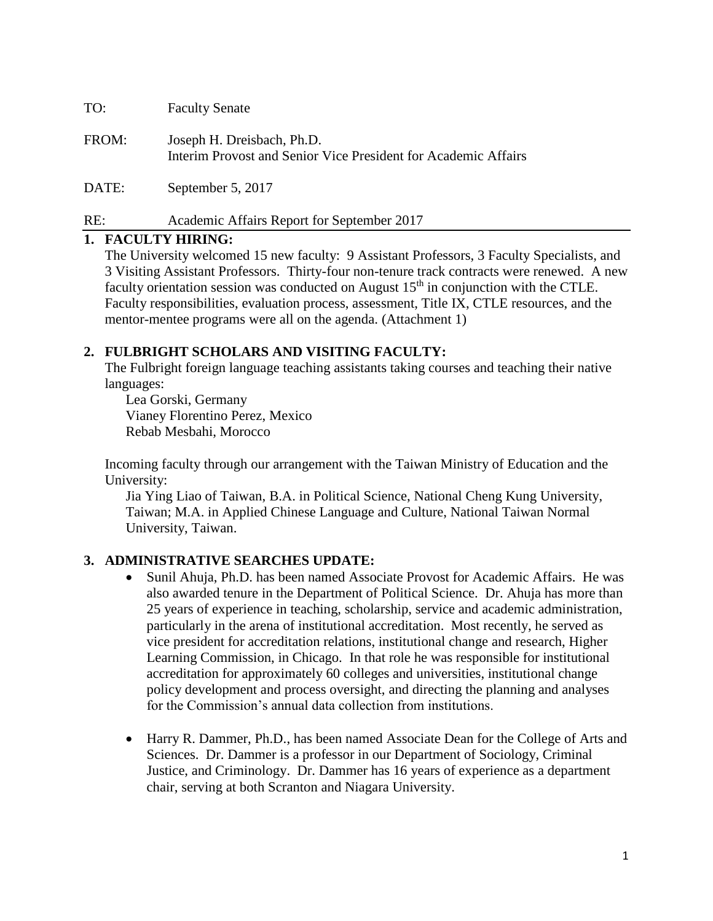TO: Faculty Senate

- FROM: Joseph H. Dreisbach, Ph.D. Interim Provost and Senior Vice President for Academic Affairs
- DATE: September 5, 2017

# RE: Academic Affairs Report for September 2017

## **1. FACULTY HIRING:**

The University welcomed 15 new faculty: 9 Assistant Professors, 3 Faculty Specialists, and 3 Visiting Assistant Professors. Thirty-four non-tenure track contracts were renewed. A new faculty orientation session was conducted on August  $15<sup>th</sup>$  in conjunction with the CTLE. Faculty responsibilities, evaluation process, assessment, Title IX, CTLE resources, and the mentor-mentee programs were all on the agenda. (Attachment 1)

# **2. FULBRIGHT SCHOLARS AND VISITING FACULTY:**

The Fulbright foreign language teaching assistants taking courses and teaching their native languages:

Lea Gorski, Germany Vianey Florentino Perez, Mexico Rebab Mesbahi, Morocco

Incoming faculty through our arrangement with the Taiwan Ministry of Education and the University:

Jia Ying Liao of Taiwan, B.A. in Political Science, National Cheng Kung University, Taiwan; M.A. in Applied Chinese Language and Culture, National Taiwan Normal University, Taiwan.

# **3. ADMINISTRATIVE SEARCHES UPDATE:**

- Sunil Ahuja, Ph.D. has been named Associate Provost for Academic Affairs. He was also awarded tenure in the Department of Political Science. Dr. Ahuja has more than 25 years of experience in teaching, scholarship, service and academic administration, particularly in the arena of institutional accreditation. Most recently, he served as vice president for accreditation relations, institutional change and research, Higher Learning Commission, in Chicago. In that role he was responsible for institutional accreditation for approximately 60 colleges and universities, institutional change policy development and process oversight, and directing the planning and analyses for the Commission's annual data collection from institutions.
- Harry R. Dammer, Ph.D., has been named Associate Dean for the College of Arts and Sciences. Dr. Dammer is a professor in our Department of Sociology, Criminal Justice, and Criminology. Dr. Dammer has 16 years of experience as a department chair, serving at both Scranton and Niagara University.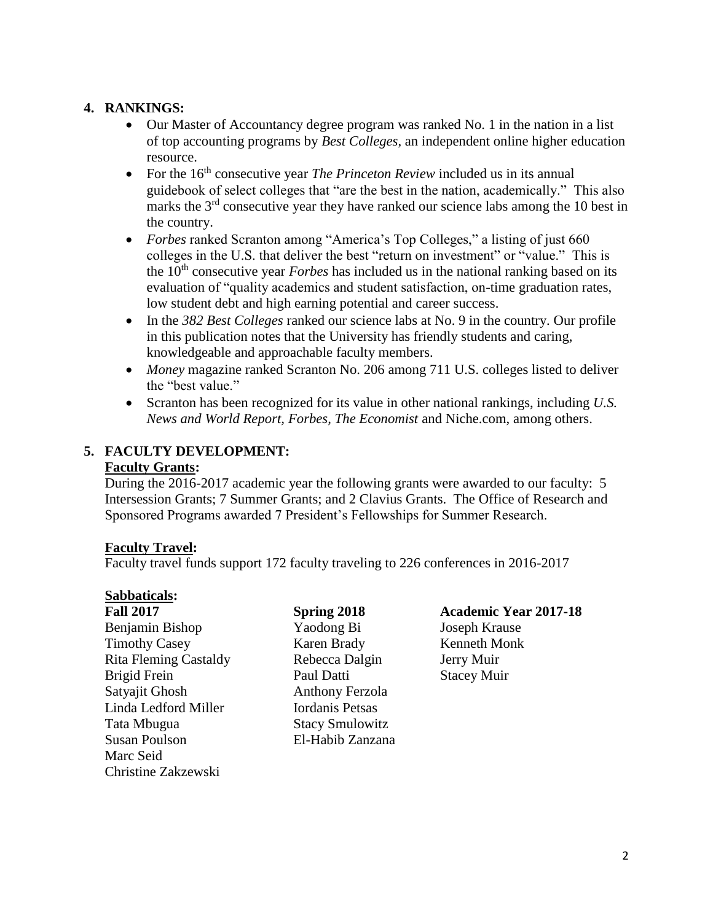## **4. RANKINGS:**

- Our Master of Accountancy degree program was ranked No. 1 in the nation in a list of top accounting programs by *Best Colleges,* an independent online higher education resource.
- For the 16<sup>th</sup> consecutive year *The Princeton Review* included us in its annual guidebook of select colleges that "are the best in the nation, academically." This also marks the 3<sup>rd</sup> consecutive year they have ranked our science labs among the 10 best in the country.
- *Forbes* ranked Scranton among "America's Top Colleges," a listing of just 660 colleges in the U.S. that deliver the best "return on investment" or "value." This is the 10<sup>th</sup> consecutive year *Forbes* has included us in the national ranking based on its evaluation of "quality academics and student satisfaction, on-time graduation rates, low student debt and high earning potential and career success.
- In the *382 Best Colleges* ranked our science labs at No. 9 in the country. Our profile in this publication notes that the University has friendly students and caring, knowledgeable and approachable faculty members.
- *Money* magazine ranked Scranton No. 206 among 711 U.S. colleges listed to deliver the "best value."
- Scranton has been recognized for its value in other national rankings, including *U.S. News and World Report, Forbes, The Economist* and Niche.com, among others.

## **5. FACULTY DEVELOPMENT: Faculty Grants:**

During the 2016-2017 academic year the following grants were awarded to our faculty: 5 Intersession Grants; 7 Summer Grants; and 2 Clavius Grants. The Office of Research and Sponsored Programs awarded 7 President's Fellowships for Summer Research.

# **Faculty Travel:**

Faculty travel funds support 172 faculty traveling to 226 conferences in 2016-2017

# **Sabbaticals:**

Benjamin Bishop Yaodong Bi Joseph Krause Timothy Casey **Karen Brady** Kenneth Monk Rita Fleming Castaldy Rebecca Dalgin Jerry Muir Brigid Frein **Paul Datti** Stacey Muir Satyajit Ghosh Anthony Ferzola Linda Ledford Miller Iordanis Petsas Tata Mbugua Stacy Smulowitz Susan Poulson El-Habib Zanzana Marc Seid Christine Zakzewski

# **Fall 2017 Spring 2018 Academic Year 2017-18**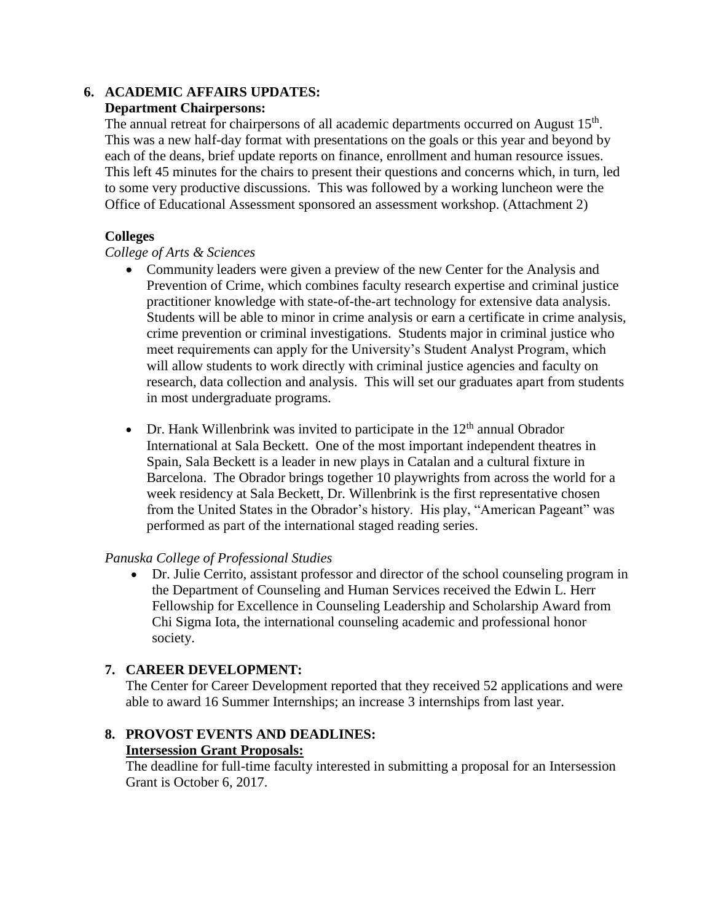# **6. ACADEMIC AFFAIRS UPDATES:**

## **Department Chairpersons:**

The annual retreat for chairpersons of all academic departments occurred on August  $15<sup>th</sup>$ . This was a new half-day format with presentations on the goals or this year and beyond by each of the deans, brief update reports on finance, enrollment and human resource issues. This left 45 minutes for the chairs to present their questions and concerns which, in turn, led to some very productive discussions. This was followed by a working luncheon were the Office of Educational Assessment sponsored an assessment workshop. (Attachment 2)

## **Colleges**

## *College of Arts & Sciences*

- Community leaders were given a preview of the new Center for the Analysis and Prevention of Crime, which combines faculty research expertise and criminal justice practitioner knowledge with state-of-the-art technology for extensive data analysis. Students will be able to minor in crime analysis or earn a certificate in crime analysis, crime prevention or criminal investigations. Students major in criminal justice who meet requirements can apply for the University's Student Analyst Program, which will allow students to work directly with criminal justice agencies and faculty on research, data collection and analysis. This will set our graduates apart from students in most undergraduate programs.
- Dr. Hank Willenbrink was invited to participate in the  $12<sup>th</sup>$  annual Obrador International at Sala Beckett. One of the most important independent theatres in Spain, Sala Beckett is a leader in new plays in Catalan and a cultural fixture in Barcelona. The Obrador brings together 10 playwrights from across the world for a week residency at Sala Beckett, Dr. Willenbrink is the first representative chosen from the United States in the Obrador's history. His play, "American Pageant" was performed as part of the international staged reading series.

#### *Panuska College of Professional Studies*

 Dr. Julie Cerrito, assistant professor and director of the school counseling program in the Department of Counseling and Human Services received the Edwin L. Herr Fellowship for Excellence in Counseling Leadership and Scholarship Award from Chi Sigma Iota, the international counseling academic and professional honor society.

# **7. CAREER DEVELOPMENT:**

The Center for Career Development reported that they received 52 applications and were able to award 16 Summer Internships; an increase 3 internships from last year.

# **8. PROVOST EVENTS AND DEADLINES:**

#### **Intersession Grant Proposals:**

The deadline for full-time faculty interested in submitting a proposal for an Intersession Grant is October 6, 2017.